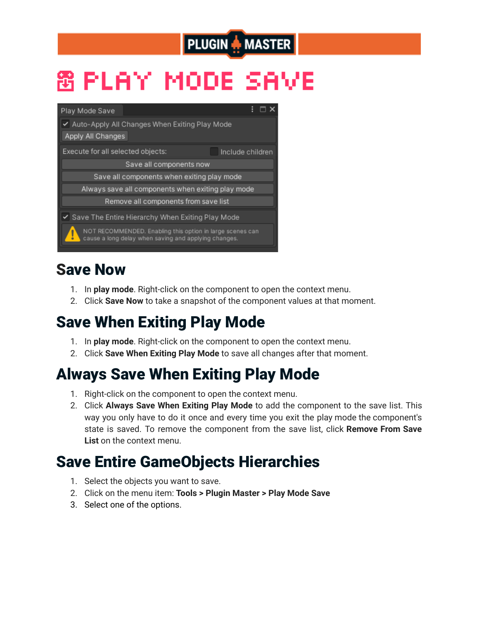## **PLUGIN A MASTER**

# 窗 PLAY MODE SAVE



#### Save Now

- 1. In **play mode**. Right-click on the component to open the context menu.
- 2. Click **Save Now** to take a snapshot of the component values at that moment.

#### Save When Exiting Play Mode

- 1. In **play mode**. Right-click on the component to open the context menu.
- 2. Click **Save When Exiting Play Mode** to save all changes after that moment.

#### Always Save When Exiting Play Mode

- 1. Right-click on the component to open the context menu.
- 2. Click **Always Save When Exiting Play Mode** to add the component to the save list. This way you only have to do it once and every time you exit the play mode the component's state is saved. To remove the component from the save list, click **Remove From Save List** on the context menu.

#### Save Entire GameObjects Hierarchies

- 1. Select the objects you want to save.
- 2. Click on the menu item: **Tools > Plugin Master > Play Mode Save**
- 3. Select one of the options.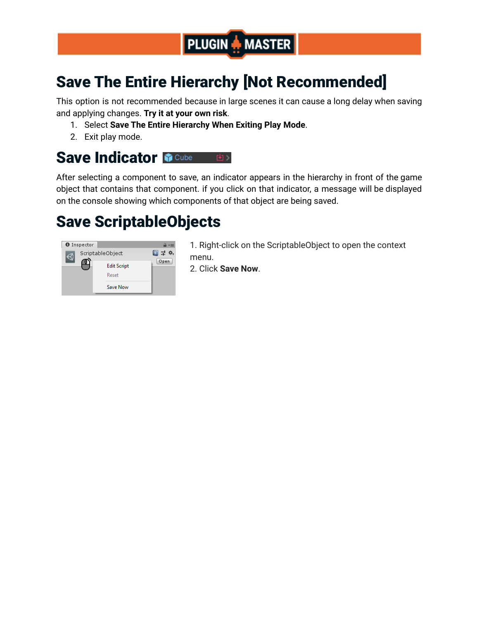

### Save The Entire Hierarchy [Not Recommended]

This option is not recommended because in large scenes it can cause a long delay when saving and applying changes. **Try it at your own risk**.

- 1. Select **Save The Entire Hierarchy When Exiting Play Mode**.
- 2. Exit play mode.

#### **Save Indicator M Cube** 画

After selecting a component to save, an indicator appears in the hierarchy in front of the game object that contains that component. if you click on that indicator, a message will be displayed on the console showing which components of that object are being saved.

#### Save ScriptableObjects



1. Right-click on the ScriptableObject to open the context menu.

2. Click **Save Now**.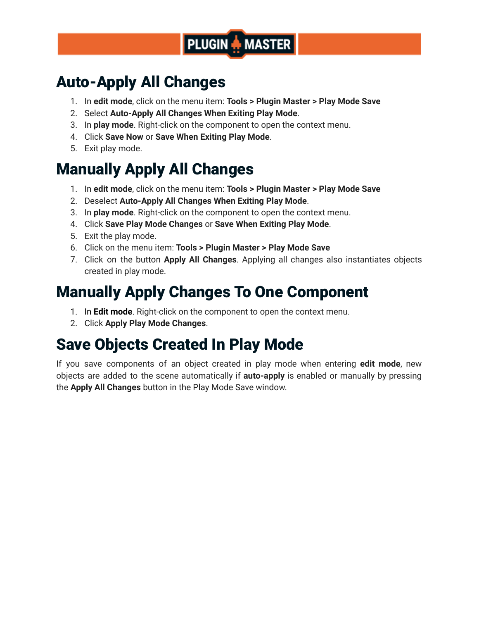

#### Auto-Apply All Changes

- 1. In **edit mode**, click on the menu item: **Tools > Plugin Master > Play Mode Save**
- 2. Select **Auto-Apply All Changes When Exiting Play Mode**.
- 3. In **play mode**. Right-click on the component to open the context menu.
- 4. Click **Save Now** or **Save When Exiting Play Mode**.
- 5. Exit play mode.

#### Manually Apply All Changes

- 1. In **edit mode**, click on the menu item: **Tools > Plugin Master > Play Mode Save**
- 2. Deselect **Auto-Apply All Changes When Exiting Play Mode**.
- 3. In **play mode**. Right-click on the component to open the context menu.
- 4. Click **Save Play Mode Changes** or **Save When Exiting Play Mode**.
- 5. Exit the play mode.
- 6. Click on the menu item: **Tools > Plugin Master > Play Mode Save**
- 7. Click on the button **Apply All Changes**. Applying all changes also instantiates objects created in play mode.

#### Manually Apply Changes To One Component

- 1. In **Edit mode**. Right-click on the component to open the context menu.
- 2. Click **Apply Play Mode Changes**.

#### Save Objects Created In Play Mode

If you save components of an object created in play mode when entering **edit mode**, new objects are added to the scene automatically if **auto-apply** is enabled or manually by pressing the **Apply All Changes** button in the Play Mode Save window.